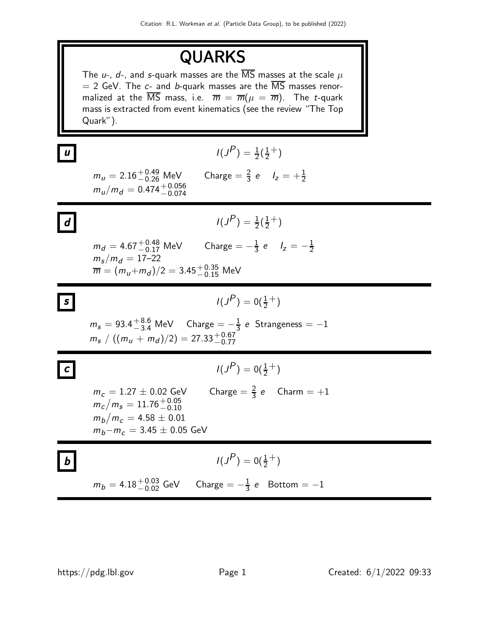# QUARKS

The u-, d-, and s-quark masses are the  $\overline{\text{MS}}$  masses at the scale  $\mu$  $= 2$  GeV. The c- and b-quark masses are the  $\overline{\text{MS}}$  masses renormalized at the  $\overline{MS}$  mass, i.e.  $\overline{m} = \overline{m}(\mu = \overline{m})$ . The *t*-quark mass is extracted from event kinematics (see the review "The Top Quark").

$$
I(J^{P}) = \frac{1}{2}(\frac{1}{2}^{+})
$$

 $m_u = 2.16^{+0.49}_{-0.26}$  MeV Charge  $= \frac{2}{3}$  e  $I_z = +\frac{1}{2}$  $m_u/m_d = 0.474^{+0.056}_{-0.074}$ 

**d** 
$$
I(J^{P}) = \frac{1}{2}(\frac{1}{2}^{+})
$$

2

 $m_d = 4.67^{+0.48}_{-0.17}$  MeV  $\qquad$  Charge  $=-\frac{1}{3}$  $\frac{1}{3} e$   $I_z = -\frac{1}{2}$  $m_{\rm s}/m_{\rm d} = 17\text{--}22$  $\overline{m} = (m_u{+}m_d)/2 = 3.45 {+0.35\atop -0.15}$  MeV

$$
I(J^{P}) = 0(\frac{1}{2}^{+})
$$

 $m_s = 93.4^{+8.6}_{-3.4}$  MeV Charge  $= -\frac{1}{3}$  $\frac{1}{3}$  e Strangeness  $=-1$  $m_s / ((m_u + m_d)/2) = 27.33^{+0.67}_{-0.77}$ 

$$
I(J^P) = 0(\frac{1}{2}^+)
$$

 $m_c = 1.27 \pm 0.02$  GeV Charge  $= \frac{2}{3}$  e Charm  $= +1$  $m_{\it c}/m_{\it s} = 11.76_{-0.10}^{+0.05}$  $m_b/m_c = 4.58 \pm 0.01$  $m_b - m_c = 3.45 \pm 0.05$  GeV

**b**  

$$
I(J^{P}) = 0(\frac{1}{2}^{+})
$$

$$
m_{b} = 4.18^{+0.03}_{-0.02} \text{ GeV} \qquad \text{Change} = -\frac{1}{3} \text{ e} \qquad \text{Bottom} = -1
$$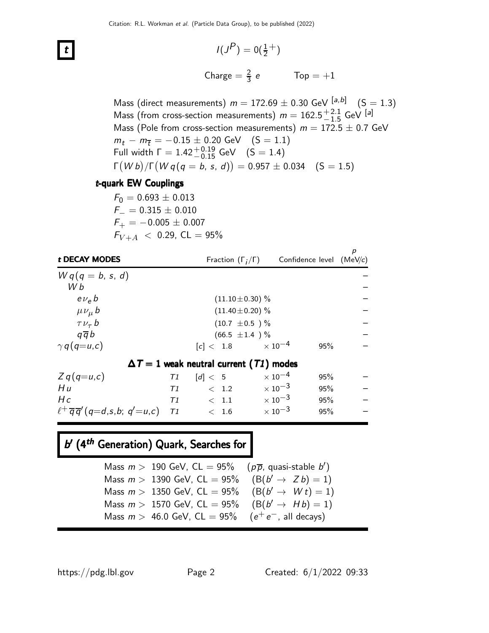$$
I(J^{P}) = 0(\frac{1}{2}^{+})
$$
  
Change =  $\frac{2}{3}$  e  $\text{Top} = +1$ 

Mass (direct measurements)  $m = 172.69 \pm 0.30$  GeV  $\begin{bmatrix} a, b \end{bmatrix}$   $(S = 1.3)$ Mass (from cross-section measurements)  $m = 162.5^{+2.1}_{-1.5}$  GeV  $^{[a]}$ Mass (Pole from cross-section measurements)  $m = 172.5 \pm 0.7$  GeV  $m_t - m_{\overline{t}} = -0.15 \pm 0.20$  GeV (S = 1.1) Full width  $\Gamma = 1.42^{+0.19}_{-0.15}$  GeV  $(S = 1.4)$  $\Gamma(Wb)/\Gamma(Wq(q=b, s, d)) = 0.957 \pm 0.034 \quad (S = 1.5)$ 

#### t-quark EW Couplings

 $F_0 = 0.693 \pm 0.013$  $F_-=0.315\pm0.010$  $F_{+} = -0.005 \pm 0.007$  $F_{V+A}$  < 0.29, CL = 95%

| t DECAY MODES                                         |                      | Fraction $(\Gamma_i/\Gamma)$                   | Confidence level (MeV/c)  |     | p                        |
|-------------------------------------------------------|----------------------|------------------------------------------------|---------------------------|-----|--------------------------|
| $Wq(q = b, s, d)$                                     |                      |                                                |                           |     |                          |
| W b                                                   |                      |                                                |                           |     |                          |
| $e\nu_e b$                                            | $(11.10 \pm 0.30)$ % |                                                |                           |     |                          |
| $\mu \nu_{\mu} b$                                     | $(11.40 \pm 0.20)$ % |                                                |                           |     |                          |
| $\tau \nu_{\tau} b$                                   | $(10.7 \pm 0.5)$ %   |                                                |                           |     |                          |
| $q\overline{q}b$                                      | $(66.5 \pm 1.4) \%$  |                                                |                           |     |                          |
| $\gamma q(q=u,c)$                                     |                      | [c] < 1.8                                      | $\times$ 10 $^{-4}$       | 95% |                          |
|                                                       |                      | $\Delta T = 1$ weak neutral current (T1) modes |                           |     |                          |
| $Zq(q=u,c)$                                           | T1                   | $\lceil d \rceil < 5$                          | $\times$ 10 $^{-4}$       | 95% |                          |
| Hu                                                    | T1                   | < 1.2                                          | $\times$ 10 <sup>-3</sup> | 95% |                          |
| Hc                                                    | T1                   | < 1.1                                          | $\times$ 10 <sup>-3</sup> | 95% | $\overline{\phantom{a}}$ |
| $\ell^+ \overline{q} \overline{q}'$ (q=d,s,b; q'=u,c) | T1                   | < 1.6                                          | $\times$ 10 <sup>-3</sup> | 95% |                          |

## b' (4<sup>th</sup> Generation) Quark, Searches for

| Mass $m > 190$ GeV, CL = 95% ( $p\overline{p}$ , quasi-stable b') |  |
|-------------------------------------------------------------------|--|
| Mass $m > 1390$ GeV, CL = 95% (B( $b' \rightarrow Zb$ ) = 1)      |  |
| Mass $m > 1350$ GeV, CL = 95% (B( $b' \rightarrow W t$ ) = 1)     |  |
| Mass $m > 1570$ GeV, CL = 95% (B( $b' \rightarrow Hb$ ) = 1)      |  |
| Mass $m > 46.0$ GeV, $CL = 95\%$ $(e^+e^-)$ , all decays)         |  |